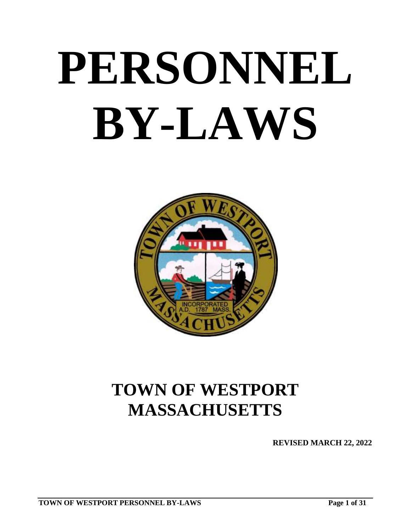# **PERSONNEL BY-LAWS**



# **TOWN OF WESTPORT MASSACHUSETTS**

**REVISED MARCH 22, 2022**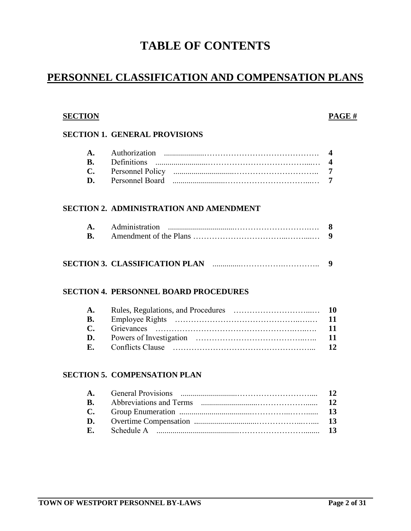### **TABLE OF CONTENTS**

#### **PERSONNEL CLASSIFICATION AND COMPENSATION PLANS**

#### **SECTION PAGE #**

#### **SECTION 1. GENERAL PROVISIONS**

| $\mathbf{D}$ |  |
|--------------|--|

#### **SECTION 2. ADMINISTRATION AND AMENDMENT**

| A. Administration |  |
|-------------------|--|
|                   |  |

#### **SECTION 3. CLASSIFICATION PLAN** ..............…………….………….. **9**

#### **SECTION 4. PERSONNEL BOARD PROCEDURES**

| <b>A.</b>    |  |
|--------------|--|
| <b>B.</b>    |  |
| $\mathbf{C}$ |  |
| D.           |  |
| $\mathbf{F}$ |  |

#### **SECTION 5. COMPENSATION PLAN**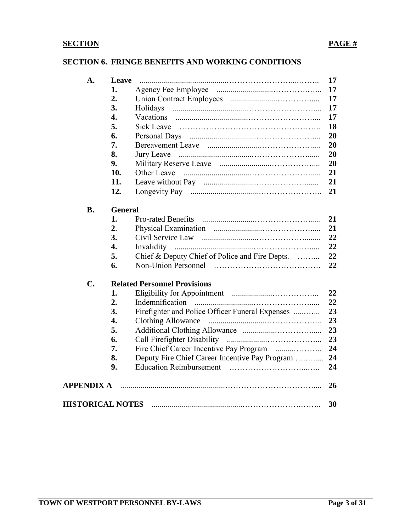#### **SECTION 6. FRINGE BENEFITS AND WORKING CONDITIONS**

| A.                      | Leave          |                                                 | 17 |
|-------------------------|----------------|-------------------------------------------------|----|
|                         | 1.             |                                                 | 17 |
|                         | 2.             |                                                 | 17 |
|                         | 3.             | Holidays                                        | 17 |
|                         | 4.             | Vacations                                       | 17 |
|                         | 5.             |                                                 | 18 |
|                         | 6.             |                                                 | 20 |
|                         | 7.             |                                                 | 20 |
|                         | 8.             |                                                 | 20 |
|                         | 9.             |                                                 | 20 |
|                         | 10.            |                                                 | 21 |
|                         | 11.            |                                                 | 21 |
|                         | 12.            |                                                 | 21 |
| <b>B.</b>               | <b>General</b> |                                                 |    |
|                         | 1.             |                                                 | 21 |
|                         | 2.             |                                                 | 21 |
|                         | 3.             |                                                 | 22 |
|                         | 4.             | Invalidity                                      | 22 |
|                         | 5.             | Chief & Deputy Chief of Police and Fire Depts.  | 22 |
|                         | 6.             |                                                 | 22 |
| C.                      |                | <b>Related Personnel Provisions</b>             |    |
|                         | 1.             |                                                 | 22 |
|                         | 2.             |                                                 | 22 |
|                         | 3.             | Firefighter and Police Officer Funeral Expenses | 23 |
|                         | 4.             |                                                 | 23 |
|                         | 5.             |                                                 | 23 |
|                         | 6.             |                                                 | 23 |
|                         | 7.             |                                                 | 24 |
|                         | 8.             | Deputy Fire Chief Career Incentive Pay Program  | 24 |
|                         | 9.             |                                                 | 24 |
| <b>APPENDIX A</b>       |                |                                                 | 26 |
| <b>HISTORICAL NOTES</b> |                |                                                 | 30 |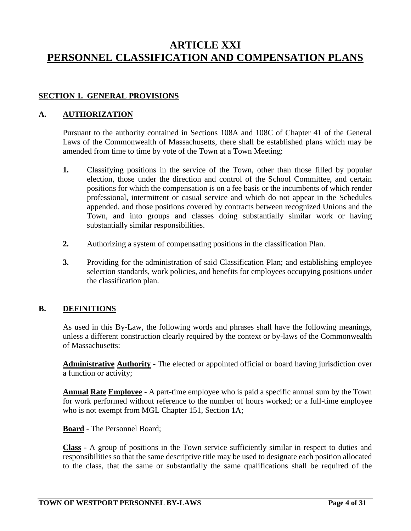#### **ARTICLE XXI PERSONNEL CLASSIFICATION AND COMPENSATION PLANS**

#### **SECTION 1. GENERAL PROVISIONS**

#### **A. AUTHORIZATION**

Pursuant to the authority contained in Sections 108A and 108C of Chapter 41 of the General Laws of the Commonwealth of Massachusetts, there shall be established plans which may be amended from time to time by vote of the Town at a Town Meeting:

- **1.** Classifying positions in the service of the Town, other than those filled by popular election, those under the direction and control of the School Committee, and certain positions for which the compensation is on a fee basis or the incumbents of which render professional, intermittent or casual service and which do not appear in the Schedules appended, and those positions covered by contracts between recognized Unions and the Town, and into groups and classes doing substantially similar work or having substantially similar responsibilities.
- **2.** Authorizing a system of compensating positions in the classification Plan.
- **3.** Providing for the administration of said Classification Plan; and establishing employee selection standards, work policies, and benefits for employees occupying positions under the classification plan.

#### **B. DEFINITIONS**

As used in this By-Law, the following words and phrases shall have the following meanings, unless a different construction clearly required by the context or by-laws of the Commonwealth of Massachusetts:

**Administrative Authority** - The elected or appointed official or board having jurisdiction over a function or activity;

**Annual Rate Employee** - A part-time employee who is paid a specific annual sum by the Town for work performed without reference to the number of hours worked; or a full-time employee who is not exempt from MGL Chapter 151, Section 1A;

**Board** - The Personnel Board;

**Class** - A group of positions in the Town service sufficiently similar in respect to duties and responsibilities so that the same descriptive title may be used to designate each position allocated to the class, that the same or substantially the same qualifications shall be required of the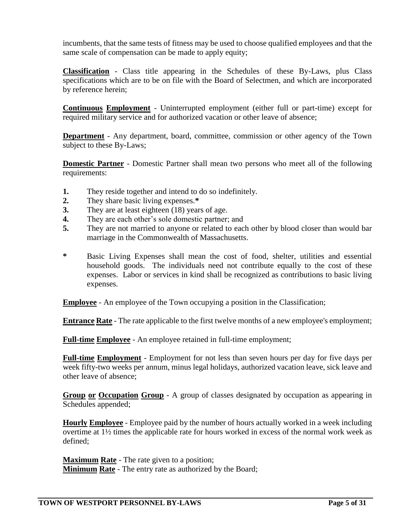incumbents, that the same tests of fitness may be used to choose qualified employees and that the same scale of compensation can be made to apply equity;

**Classification** - Class title appearing in the Schedules of these By-Laws, plus Class specifications which are to be on file with the Board of Selectmen, and which are incorporated by reference herein;

**Continuous Employment** - Uninterrupted employment (either full or part-time) except for required military service and for authorized vacation or other leave of absence;

**Department** - Any department, board, committee, commission or other agency of the Town subject to these By-Laws;

**Domestic Partner** - Domestic Partner shall mean two persons who meet all of the following requirements:

- **1.** They reside together and intend to do so indefinitely.
- **2.** They share basic living expenses.**\***
- **3.** They are at least eighteen (18) years of age.
- **4.** They are each other's sole domestic partner; and
- **5.** They are not married to anyone or related to each other by blood closer than would bar marriage in the Commonwealth of Massachusetts.
- **\*** Basic Living Expenses shall mean the cost of food, shelter, utilities and essential household goods. The individuals need not contribute equally to the cost of these expenses. Labor or services in kind shall be recognized as contributions to basic living expenses.

**Employee** - An employee of the Town occupying a position in the Classification;

**Entrance Rate** - The rate applicable to the first twelve months of a new employee's employment;

**Full-time Employee** - An employee retained in full-time employment;

**Full-time Employment** - Employment for not less than seven hours per day for five days per week fifty-two weeks per annum, minus legal holidays, authorized vacation leave, sick leave and other leave of absence;

**Group or Occupation Group** - A group of classes designated by occupation as appearing in Schedules appended;

**Hourly Employee** - Employee paid by the number of hours actually worked in a week including overtime at 1½ times the applicable rate for hours worked in excess of the normal work week as defined;

**Maximum Rate** - The rate given to a position; **Minimum Rate** - The entry rate as authorized by the Board;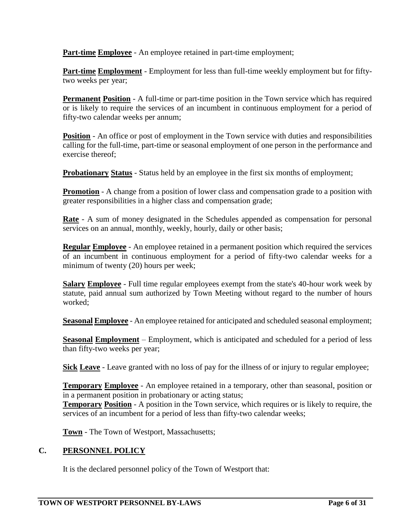**Part-time Employee** - An employee retained in part-time employment;

**Part-time Employment** - Employment for less than full-time weekly employment but for fiftytwo weeks per year;

**Permanent Position** - A full-time or part-time position in the Town service which has required or is likely to require the services of an incumbent in continuous employment for a period of fifty-two calendar weeks per annum;

**Position** - An office or post of employment in the Town service with duties and responsibilities calling for the full-time, part-time or seasonal employment of one person in the performance and exercise thereof;

**Probationary Status** - Status held by an employee in the first six months of employment;

**Promotion** - A change from a position of lower class and compensation grade to a position with greater responsibilities in a higher class and compensation grade;

**Rate** - A sum of money designated in the Schedules appended as compensation for personal services on an annual, monthly, weekly, hourly, daily or other basis;

**Regular Employee** - An employee retained in a permanent position which required the services of an incumbent in continuous employment for a period of fifty-two calendar weeks for a minimum of twenty (20) hours per week;

**Salary Employee** - Full time regular employees exempt from the state's 40-hour work week by statute, paid annual sum authorized by Town Meeting without regard to the number of hours worked;

**Seasonal Employee** - An employee retained for anticipated and scheduled seasonal employment;

**Seasonal Employment** – Employment, which is anticipated and scheduled for a period of less than fifty-two weeks per year;

**Sick Leave** - Leave granted with no loss of pay for the illness of or injury to regular employee;

**Temporary Employee** - An employee retained in a temporary, other than seasonal, position or in a permanent position in probationary or acting status;

**Temporary Position** - A position in the Town service, which requires or is likely to require, the services of an incumbent for a period of less than fifty-two calendar weeks;

**Town** - The Town of Westport, Massachusetts;

#### **C. PERSONNEL POLICY**

It is the declared personnel policy of the Town of Westport that: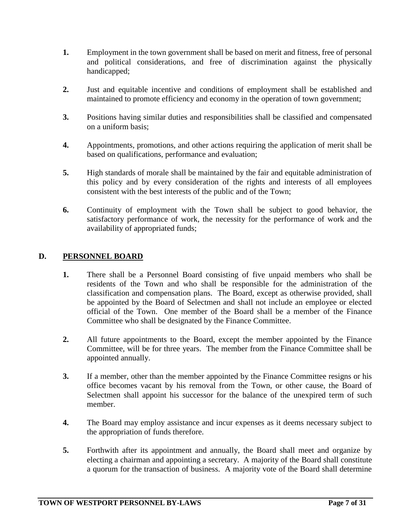- **1.** Employment in the town government shall be based on merit and fitness, free of personal and political considerations, and free of discrimination against the physically handicapped;
- **2.** Just and equitable incentive and conditions of employment shall be established and maintained to promote efficiency and economy in the operation of town government;
- **3.** Positions having similar duties and responsibilities shall be classified and compensated on a uniform basis;
- **4.** Appointments, promotions, and other actions requiring the application of merit shall be based on qualifications, performance and evaluation;
- **5.** High standards of morale shall be maintained by the fair and equitable administration of this policy and by every consideration of the rights and interests of all employees consistent with the best interests of the public and of the Town;
- **6.** Continuity of employment with the Town shall be subject to good behavior, the satisfactory performance of work, the necessity for the performance of work and the availability of appropriated funds;

#### **D. PERSONNEL BOARD**

- **1.** There shall be a Personnel Board consisting of five unpaid members who shall be residents of the Town and who shall be responsible for the administration of the classification and compensation plans. The Board, except as otherwise provided, shall be appointed by the Board of Selectmen and shall not include an employee or elected official of the Town. One member of the Board shall be a member of the Finance Committee who shall be designated by the Finance Committee.
- **2.** All future appointments to the Board, except the member appointed by the Finance Committee, will be for three years. The member from the Finance Committee shall be appointed annually.
- **3.** If a member, other than the member appointed by the Finance Committee resigns or his office becomes vacant by his removal from the Town, or other cause, the Board of Selectmen shall appoint his successor for the balance of the unexpired term of such member.
- **4.** The Board may employ assistance and incur expenses as it deems necessary subject to the appropriation of funds therefore.
- **5.** Forthwith after its appointment and annually, the Board shall meet and organize by electing a chairman and appointing a secretary. A majority of the Board shall constitute a quorum for the transaction of business. A majority vote of the Board shall determine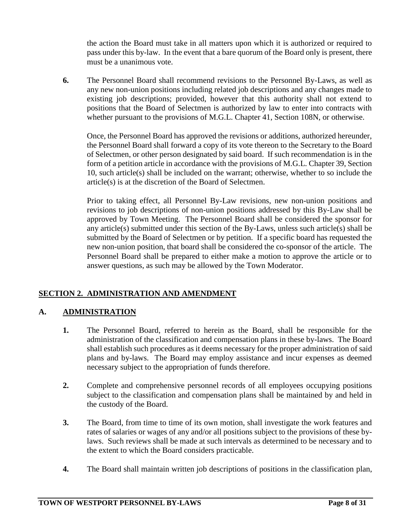the action the Board must take in all matters upon which it is authorized or required to pass under this by-law. In the event that a bare quorum of the Board only is present, there must be a unanimous vote.

**6.** The Personnel Board shall recommend revisions to the Personnel By-Laws, as well as any new non-union positions including related job descriptions and any changes made to existing job descriptions; provided, however that this authority shall not extend to positions that the Board of Selectmen is authorized by law to enter into contracts with whether pursuant to the provisions of M.G.L. Chapter 41, Section 108N, or otherwise.

Once, the Personnel Board has approved the revisions or additions, authorized hereunder, the Personnel Board shall forward a copy of its vote thereon to the Secretary to the Board of Selectmen, or other person designated by said board. If such recommendation is in the form of a petition article in accordance with the provisions of M.G.L. Chapter 39, Section 10, such article(s) shall be included on the warrant; otherwise, whether to so include the article(s) is at the discretion of the Board of Selectmen.

Prior to taking effect, all Personnel By-Law revisions, new non-union positions and revisions to job descriptions of non-union positions addressed by this By-Law shall be approved by Town Meeting. The Personnel Board shall be considered the sponsor for any article(s) submitted under this section of the By-Laws, unless such article(s) shall be submitted by the Board of Selectmen or by petition. If a specific board has requested the new non-union position, that board shall be considered the co-sponsor of the article. The Personnel Board shall be prepared to either make a motion to approve the article or to answer questions, as such may be allowed by the Town Moderator.

#### **SECTION 2. ADMINISTRATION AND AMENDMENT**

#### **A. ADMINISTRATION**

- **1.** The Personnel Board, referred to herein as the Board, shall be responsible for the administration of the classification and compensation plans in these by-laws. The Board shall establish such procedures as it deems necessary for the proper administration of said plans and by-laws. The Board may employ assistance and incur expenses as deemed necessary subject to the appropriation of funds therefore.
- **2.** Complete and comprehensive personnel records of all employees occupying positions subject to the classification and compensation plans shall be maintained by and held in the custody of the Board.
- **3.** The Board, from time to time of its own motion, shall investigate the work features and rates of salaries or wages of any and/or all positions subject to the provisions of these bylaws. Such reviews shall be made at such intervals as determined to be necessary and to the extent to which the Board considers practicable.
- **4.** The Board shall maintain written job descriptions of positions in the classification plan,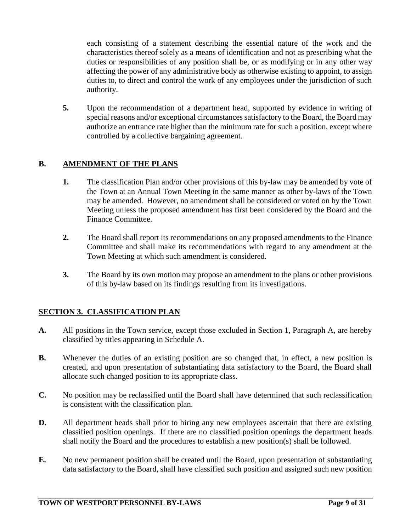each consisting of a statement describing the essential nature of the work and the characteristics thereof solely as a means of identification and not as prescribing what the duties or responsibilities of any position shall be, or as modifying or in any other way affecting the power of any administrative body as otherwise existing to appoint, to assign duties to, to direct and control the work of any employees under the jurisdiction of such authority.

**5.** Upon the recommendation of a department head, supported by evidence in writing of special reasons and/or exceptional circumstances satisfactory to the Board, the Board may authorize an entrance rate higher than the minimum rate for such a position, except where controlled by a collective bargaining agreement.

#### **B. AMENDMENT OF THE PLANS**

- **1.** The classification Plan and/or other provisions of this by-law may be amended by vote of the Town at an Annual Town Meeting in the same manner as other by-laws of the Town may be amended. However, no amendment shall be considered or voted on by the Town Meeting unless the proposed amendment has first been considered by the Board and the Finance Committee.
- **2.** The Board shall report its recommendations on any proposed amendments to the Finance Committee and shall make its recommendations with regard to any amendment at the Town Meeting at which such amendment is considered.
- **3.** The Board by its own motion may propose an amendment to the plans or other provisions of this by-law based on its findings resulting from its investigations.

#### **SECTION 3. CLASSIFICATION PLAN**

- **A.** All positions in the Town service, except those excluded in Section 1, Paragraph A, are hereby classified by titles appearing in Schedule A.
- **B.** Whenever the duties of an existing position are so changed that, in effect, a new position is created, and upon presentation of substantiating data satisfactory to the Board, the Board shall allocate such changed position to its appropriate class.
- **C.** No position may be reclassified until the Board shall have determined that such reclassification is consistent with the classification plan.
- **D.** All department heads shall prior to hiring any new employees ascertain that there are existing classified position openings. If there are no classified position openings the department heads shall notify the Board and the procedures to establish a new position(s) shall be followed.
- **E.** No new permanent position shall be created until the Board, upon presentation of substantiating data satisfactory to the Board, shall have classified such position and assigned such new position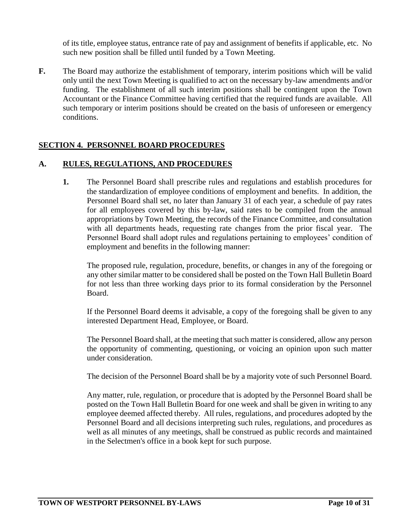of its title, employee status, entrance rate of pay and assignment of benefits if applicable, etc. No such new position shall be filled until funded by a Town Meeting.

**F.** The Board may authorize the establishment of temporary, interim positions which will be valid only until the next Town Meeting is qualified to act on the necessary by-law amendments and/or funding. The establishment of all such interim positions shall be contingent upon the Town Accountant or the Finance Committee having certified that the required funds are available. All such temporary or interim positions should be created on the basis of unforeseen or emergency conditions.

#### **SECTION 4. PERSONNEL BOARD PROCEDURES**

#### **A. RULES, REGULATIONS, AND PROCEDURES**

**1.** The Personnel Board shall prescribe rules and regulations and establish procedures for the standardization of employee conditions of employment and benefits. In addition, the Personnel Board shall set, no later than January 31 of each year, a schedule of pay rates for all employees covered by this by-law, said rates to be compiled from the annual appropriations by Town Meeting, the records of the Finance Committee, and consultation with all departments heads, requesting rate changes from the prior fiscal year. The Personnel Board shall adopt rules and regulations pertaining to employees' condition of employment and benefits in the following manner:

The proposed rule, regulation, procedure, benefits, or changes in any of the foregoing or any other similar matter to be considered shall be posted on the Town Hall Bulletin Board for not less than three working days prior to its formal consideration by the Personnel Board.

If the Personnel Board deems it advisable, a copy of the foregoing shall be given to any interested Department Head, Employee, or Board.

The Personnel Board shall, at the meeting that such matter is considered, allow any person the opportunity of commenting, questioning, or voicing an opinion upon such matter under consideration.

The decision of the Personnel Board shall be by a majority vote of such Personnel Board.

Any matter, rule, regulation, or procedure that is adopted by the Personnel Board shall be posted on the Town Hall Bulletin Board for one week and shall be given in writing to any employee deemed affected thereby. All rules, regulations, and procedures adopted by the Personnel Board and all decisions interpreting such rules, regulations, and procedures as well as all minutes of any meetings, shall be construed as public records and maintained in the Selectmen's office in a book kept for such purpose.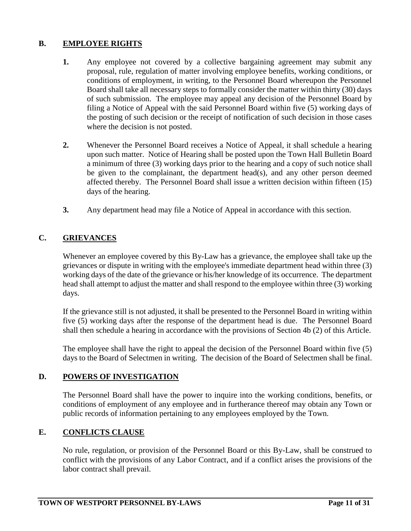#### **B. EMPLOYEE RIGHTS**

- **1.** Any employee not covered by a collective bargaining agreement may submit any proposal, rule, regulation of matter involving employee benefits, working conditions, or conditions of employment, in writing, to the Personnel Board whereupon the Personnel Board shall take all necessary steps to formally consider the matter within thirty (30) days of such submission. The employee may appeal any decision of the Personnel Board by filing a Notice of Appeal with the said Personnel Board within five (5) working days of the posting of such decision or the receipt of notification of such decision in those cases where the decision is not posted.
- **2.** Whenever the Personnel Board receives a Notice of Appeal, it shall schedule a hearing upon such matter. Notice of Hearing shall be posted upon the Town Hall Bulletin Board a minimum of three (3) working days prior to the hearing and a copy of such notice shall be given to the complainant, the department head(s), and any other person deemed affected thereby. The Personnel Board shall issue a written decision within fifteen (15) days of the hearing.
- **3.** Any department head may file a Notice of Appeal in accordance with this section.

#### **C. GRIEVANCES**

Whenever an employee covered by this By-Law has a grievance, the employee shall take up the grievances or dispute in writing with the employee's immediate department head within three (3) working days of the date of the grievance or his/her knowledge of its occurrence. The department head shall attempt to adjust the matter and shall respond to the employee within three (3) working days.

If the grievance still is not adjusted, it shall be presented to the Personnel Board in writing within five (5) working days after the response of the department head is due. The Personnel Board shall then schedule a hearing in accordance with the provisions of Section 4b (2) of this Article.

The employee shall have the right to appeal the decision of the Personnel Board within five (5) days to the Board of Selectmen in writing. The decision of the Board of Selectmen shall be final.

#### **D. POWERS OF INVESTIGATION**

The Personnel Board shall have the power to inquire into the working conditions, benefits, or conditions of employment of any employee and in furtherance thereof may obtain any Town or public records of information pertaining to any employees employed by the Town.

#### **E. CONFLICTS CLAUSE**

No rule, regulation, or provision of the Personnel Board or this By-Law, shall be construed to conflict with the provisions of any Labor Contract, and if a conflict arises the provisions of the labor contract shall prevail.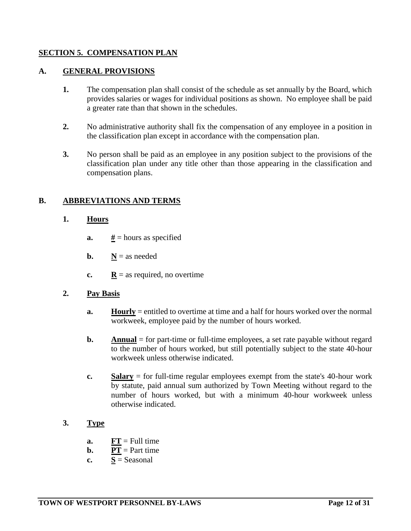#### **SECTION 5. COMPENSATION PLAN**

#### **A. GENERAL PROVISIONS**

- **1.** The compensation plan shall consist of the schedule as set annually by the Board, which provides salaries or wages for individual positions as shown. No employee shall be paid a greater rate than that shown in the schedules.
- **2.** No administrative authority shall fix the compensation of any employee in a position in the classification plan except in accordance with the compensation plan.
- **3.** No person shall be paid as an employee in any position subject to the provisions of the classification plan under any title other than those appearing in the classification and compensation plans.

#### **B. ABBREVIATIONS AND TERMS**

#### **1. Hours**

- **a.**  $\frac{H}{A}$  = hours as specified
- **b.**  $N =$ as needed
- **c.**  $\mathbf{R} = \text{as required, no overtime}$

#### **2. Pay Basis**

- **a. Hourly** = entitled to overtime at time and a half for hours worked over the normal workweek, employee paid by the number of hours worked.
- **b. Annual** = for part-time or full-time employees, a set rate payable without regard to the number of hours worked, but still potentially subject to the state 40-hour workweek unless otherwise indicated.
- **c. Salary** = for full-time regular employees exempt from the state's 40-hour work by statute, paid annual sum authorized by Town Meeting without regard to the number of hours worked, but with a minimum 40-hour workweek unless otherwise indicated.

#### **3. Type**

- **a.**  $FT = Full time$
- **b. PT** = Part time
- **c.**  $S =$  Seasonal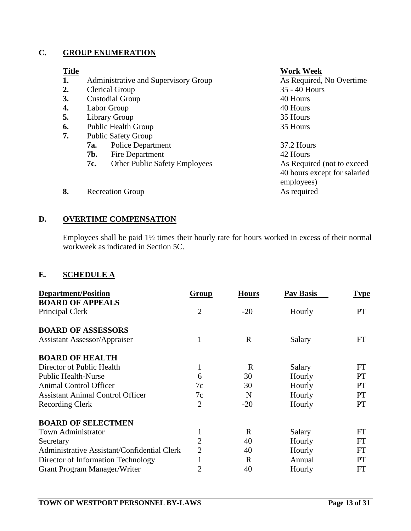#### **C. GROUP ENUMERATION**

| <b>Title</b>   |                                             | <b>Work Week</b>             |
|----------------|---------------------------------------------|------------------------------|
| 1.             | Administrative and Supervisory Group        | As Required, No Overtime     |
| $\mathbf{2}$ . | Clerical Group                              | 35 - 40 Hours                |
| 3.             | <b>Custodial Group</b>                      | 40 Hours                     |
| 4.             | Labor Group                                 | 40 Hours                     |
| 5.             | Library Group                               | 35 Hours                     |
| 6.             | <b>Public Health Group</b>                  | 35 Hours                     |
| 7.             | <b>Public Safety Group</b>                  |                              |
|                | <b>Police Department</b><br>7a.             | $37.2$ Hours                 |
|                | 7b.<br>Fire Department                      | 42 Hours                     |
|                | <b>Other Public Safety Employees</b><br>7c. | As Required (not to exceed)  |
|                |                                             | 40 hours except for salaried |
|                |                                             | employees)                   |
| 8.             | <b>Recreation Group</b>                     | As required                  |
|                |                                             |                              |

#### **D. OVERTIME COMPENSATION**

Employees shall be paid 1½ times their hourly rate for hours worked in excess of their normal workweek as indicated in Section 5C.

#### **E. SCHEDULE A**

| <b>Department/Position</b>                  | Group          | <b>Hours</b> | Pay Basis | <u>Type</u> |
|---------------------------------------------|----------------|--------------|-----------|-------------|
| <b>BOARD OF APPEALS</b>                     |                |              |           |             |
| Principal Clerk                             | $\overline{2}$ | $-20$        | Hourly    | PT          |
| <b>BOARD OF ASSESSORS</b>                   |                |              |           |             |
| <b>Assistant Assessor/Appraiser</b>         | 1              | $\mathbf{R}$ | Salary    | FT          |
| <b>BOARD OF HEALTH</b>                      |                |              |           |             |
| Director of Public Health                   | 1              | $\mathbf R$  | Salary    | <b>FT</b>   |
| <b>Public Health-Nurse</b>                  | 6              | 30           | Hourly    | <b>PT</b>   |
| <b>Animal Control Officer</b>               | 7c             | 30           | Hourly    | <b>PT</b>   |
| <b>Assistant Animal Control Officer</b>     | 7c             | N            | Hourly    | <b>PT</b>   |
| <b>Recording Clerk</b>                      | $\overline{2}$ | $-20$        | Hourly    | <b>PT</b>   |
| <b>BOARD OF SELECTMEN</b>                   |                |              |           |             |
| <b>Town Administrator</b>                   | 1              | R            | Salary    | <b>FT</b>   |
| Secretary                                   | $\overline{c}$ | 40           | Hourly    | <b>FT</b>   |
| Administrative Assistant/Confidential Clerk | $\overline{2}$ | 40           | Hourly    | <b>FT</b>   |
| Director of Information Technology          | $\mathbf{1}$   | R            | Annual    | <b>PT</b>   |
| Grant Program Manager/Writer                | $\overline{2}$ | 40           | Hourly    | FT          |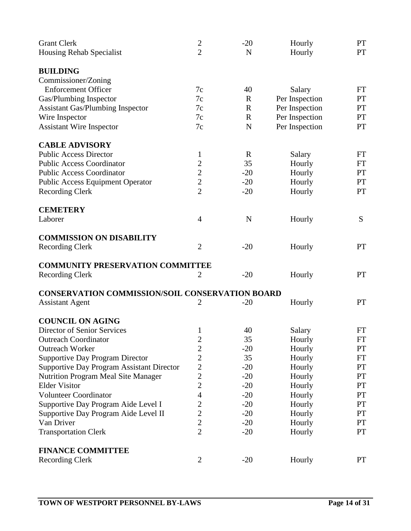| <b>Grant Clerk</b>                                     | $\overline{2}$   | $-20$       | Hourly         | <b>PT</b> |
|--------------------------------------------------------|------------------|-------------|----------------|-----------|
| Housing Rehab Specialist                               | $\overline{2}$   | N           | Hourly         | <b>PT</b> |
| <b>BUILDING</b>                                        |                  |             |                |           |
| Commissioner/Zoning                                    |                  |             |                |           |
| <b>Enforcement Officer</b>                             | 7c               | 40          | Salary         | FT        |
| Gas/Plumbing Inspector                                 | 7c               | $\mathbf R$ | Per Inspection | <b>PT</b> |
| <b>Assistant Gas/Plumbing Inspector</b>                | 7c               | $\mathbf R$ | Per Inspection | <b>PT</b> |
| Wire Inspector                                         | 7c               | $\mathbf R$ | Per Inspection | PT        |
| <b>Assistant Wire Inspector</b>                        | 7c               | $\mathbf N$ | Per Inspection | PT        |
| <b>CABLE ADVISORY</b>                                  |                  |             |                |           |
| <b>Public Access Director</b>                          | $\mathbf{1}$     | $\mathbf R$ | Salary         | FT        |
| <b>Public Access Coordinator</b>                       | $\overline{2}$   | 35          | Hourly         | FT        |
| <b>Public Access Coordinator</b>                       | $\overline{c}$   | $-20$       | Hourly         | <b>PT</b> |
| <b>Public Access Equipment Operator</b>                | $\overline{c}$   | $-20$       | Hourly         | <b>PT</b> |
| <b>Recording Clerk</b>                                 | $\overline{2}$   | $-20$       | Hourly         | PT        |
| <b>CEMETERY</b>                                        |                  |             |                |           |
| Laborer                                                | $\overline{4}$   | $\mathbf N$ | Hourly         | S         |
| <b>COMMISSION ON DISABILITY</b>                        |                  |             |                |           |
| <b>Recording Clerk</b>                                 | $\overline{2}$   | $-20$       | Hourly         | <b>PT</b> |
| <b>COMMUNITY PRESERVATION COMMITTEE</b>                |                  |             |                |           |
| <b>Recording Clerk</b>                                 | $\overline{2}$   | $-20$       | Hourly         | <b>PT</b> |
|                                                        |                  |             |                |           |
| <b>CONSERVATION COMMISSION/SOIL CONSERVATION BOARD</b> |                  |             |                |           |
| <b>Assistant Agent</b>                                 | 2                | $-20$       | Hourly         | PT        |
| <b>COUNCIL ON AGING</b>                                |                  |             |                |           |
| Director of Senior Services                            | $\mathbf{1}$     | 40          | Salary         | <b>FT</b> |
| <b>Outreach Coordinator</b>                            | $\boldsymbol{2}$ | 35          | Hourly         | FT        |
| <b>Outreach Worker</b>                                 | $\overline{2}$   | $-20$       | Hourly         | <b>PT</b> |
| <b>Supportive Day Program Director</b>                 | $\overline{c}$   | 35          | Hourly         | FT        |
| <b>Supportive Day Program Assistant Director</b>       | $\mathbf{2}$     | $-20$       | Hourly         | <b>PT</b> |
| <b>Nutrition Program Meal Site Manager</b>             | $\boldsymbol{2}$ | $-20$       | Hourly         | <b>PT</b> |
| <b>Elder Visitor</b>                                   | $\overline{c}$   | $-20$       | Hourly         | <b>PT</b> |
| <b>Volunteer Coordinator</b>                           | $\overline{4}$   | $-20$       | Hourly         | PT        |
| Supportive Day Program Aide Level I                    | $\overline{c}$   | $-20$       | Hourly         | <b>PT</b> |
| Supportive Day Program Aide Level II                   | $\overline{2}$   | $-20$       | Hourly         | <b>PT</b> |
| Van Driver                                             | $\overline{2}$   | $-20$       | Hourly         | <b>PT</b> |
| <b>Transportation Clerk</b>                            | $\overline{2}$   | $-20$       | Hourly         | PT        |
| <b>FINANCE COMMITTEE</b>                               |                  |             |                |           |
| <b>Recording Clerk</b>                                 | $\overline{2}$   | $-20$       | Hourly         | <b>PT</b> |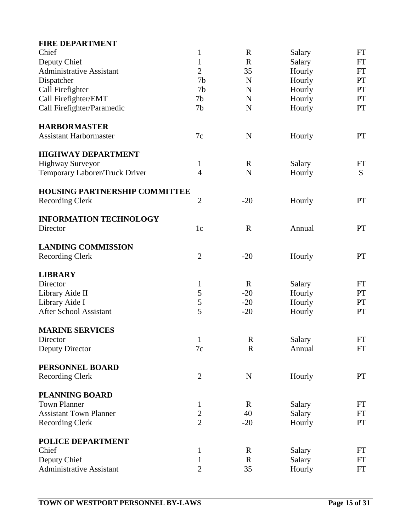| <b>FIRE DEPARTMENT</b>               |                |             |        |           |
|--------------------------------------|----------------|-------------|--------|-----------|
| Chief                                | 1              | $\mathbf R$ | Salary | FT        |
| Deputy Chief                         | 1              | $\mathbf R$ | Salary | FT        |
| <b>Administrative Assistant</b>      | $\overline{2}$ | 35          | Hourly | FT        |
| Dispatcher                           | 7b             | $\mathbf N$ | Hourly | PT        |
| Call Firefighter                     | 7 <sub>b</sub> | ${\bf N}$   | Hourly | PT        |
| Call Firefighter/EMT                 | 7b             | $\mathbf N$ | Hourly | <b>PT</b> |
| Call Firefighter/Paramedic           | 7 <sub>b</sub> | $\mathbf N$ | Hourly | <b>PT</b> |
| <b>HARBORMASTER</b>                  |                |             |        |           |
| <b>Assistant Harbormaster</b>        | 7c             | ${\bf N}$   | Hourly | PT        |
| <b>HIGHWAY DEPARTMENT</b>            |                |             |        |           |
| <b>Highway Surveyor</b>              | 1              | $\mathbf R$ | Salary | FT        |
| Temporary Laborer/Truck Driver       | $\overline{4}$ | $\mathbf N$ | Hourly | S         |
| <b>HOUSING PARTNERSHIP COMMITTEE</b> |                |             |        |           |
| <b>Recording Clerk</b>               | $\overline{2}$ | $-20$       | Hourly | PT        |
| <b>INFORMATION TECHNOLOGY</b>        |                |             |        |           |
| Director                             | 1 <sub>c</sub> | $\mathbf R$ | Annual | PT        |
| <b>LANDING COMMISSION</b>            |                |             |        |           |
| <b>Recording Clerk</b>               | $\overline{2}$ | $-20$       | Hourly | PT        |
| <b>LIBRARY</b>                       |                |             |        |           |
| Director                             | $\mathbf{1}$   | $\mathbf R$ | Salary | <b>FT</b> |
| Library Aide II                      | 5              | $-20$       | Hourly | <b>PT</b> |
| Library Aide I                       | 5              | $-20$       | Hourly | PT        |
| <b>After School Assistant</b>        | 5              | $-20$       | Hourly | PT        |
| <b>MARINE SERVICES</b>               |                |             |        |           |
| Director                             | 1              | $\mathbf R$ | Salary | FT        |
| Deputy Director                      | 7c             | R           | Annual | FT        |
| PERSONNEL BOARD                      |                |             |        |           |
| <b>Recording Clerk</b>               | $\overline{2}$ | ${\bf N}$   | Hourly | <b>PT</b> |
| PLANNING BOARD                       |                |             |        |           |
| <b>Town Planner</b>                  | $\mathbf{1}$   | $\mathbf R$ | Salary | FT        |
| <b>Assistant Town Planner</b>        | $\frac{2}{2}$  | 40          | Salary | FT        |
| <b>Recording Clerk</b>               |                | $-20$       | Hourly | <b>PT</b> |
| POLICE DEPARTMENT                    |                |             |        |           |
| Chief                                | 1              | $\mathbf R$ | Salary | FT        |
| Deputy Chief                         | 1              | $\mathbf R$ | Salary | FT        |
| <b>Administrative Assistant</b>      | $\overline{2}$ | 35          | Hourly | FT        |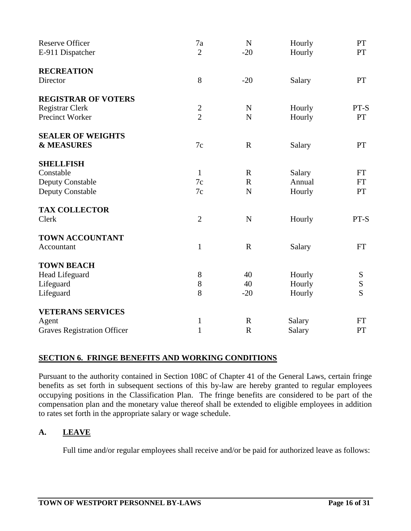| <b>Reserve Officer</b><br>E-911 Dispatcher | 7a<br>$\overline{2}$ | $\mathbf N$<br>$-20$ | Hourly<br>Hourly | PT<br>PT  |
|--------------------------------------------|----------------------|----------------------|------------------|-----------|
| <b>RECREATION</b><br>Director              | 8                    | $-20$                | Salary           | PT        |
|                                            |                      |                      |                  |           |
| <b>REGISTRAR OF VOTERS</b>                 |                      |                      |                  |           |
| Registrar Clerk                            |                      | $\mathbf N$          | Hourly           | PT-S      |
| <b>Precinct Worker</b>                     | $\frac{2}{2}$        | $\mathbf N$          | Hourly           | <b>PT</b> |
| <b>SEALER OF WEIGHTS</b>                   |                      |                      |                  |           |
| <b>&amp; MEASURES</b>                      | 7c                   | $\mathbf R$          | Salary           | <b>PT</b> |
| <b>SHELLFISH</b>                           |                      |                      |                  |           |
| Constable                                  | $\mathbf{1}$         | $\mathbf R$          | Salary           | <b>FT</b> |
| <b>Deputy Constable</b>                    | 7c                   | $\mathbf R$          | Annual           | <b>FT</b> |
| <b>Deputy Constable</b>                    | 7c                   | $\mathbf N$          | Hourly           | <b>PT</b> |
| <b>TAX COLLECTOR</b>                       |                      |                      |                  |           |
| Clerk                                      | $\overline{2}$       | ${\bf N}$            | Hourly           | PT-S      |
| <b>TOWN ACCOUNTANT</b>                     |                      |                      |                  |           |
| Accountant                                 | $\mathbf{1}$         | $\mathbf R$          | Salary           | <b>FT</b> |
| <b>TOWN BEACH</b>                          |                      |                      |                  |           |
| Head Lifeguard                             | $8\,$                | 40                   | Hourly           | S         |
| Lifeguard                                  | 8                    | 40                   | Hourly           | ${\bf S}$ |
| Lifeguard                                  | 8                    | $-20$                | Hourly           | S         |
| <b>VETERANS SERVICES</b>                   |                      |                      |                  |           |
| Agent                                      | $\mathbf{1}$         | $\mathbf R$          | Salary           | FT        |
| <b>Graves Registration Officer</b>         | $\mathbf{1}$         | $\mathbf R$          | Salary           | PT        |

#### **SECTION 6. FRINGE BENEFITS AND WORKING CONDITIONS**

Pursuant to the authority contained in Section 108C of Chapter 41 of the General Laws, certain fringe benefits as set forth in subsequent sections of this by-law are hereby granted to regular employees occupying positions in the Classification Plan. The fringe benefits are considered to be part of the compensation plan and the monetary value thereof shall be extended to eligible employees in addition to rates set forth in the appropriate salary or wage schedule.

#### **A. LEAVE**

Full time and/or regular employees shall receive and/or be paid for authorized leave as follows: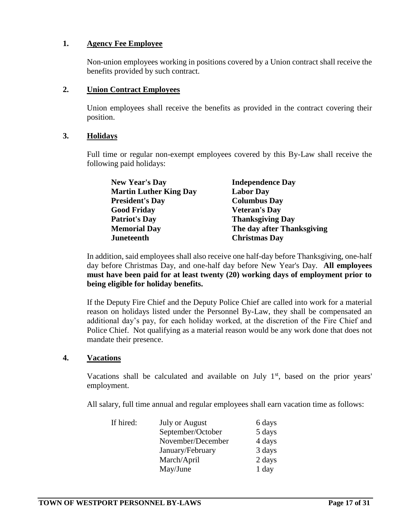#### **1. Agency Fee Employee**

Non-union employees working in positions covered by a Union contract shall receive the benefits provided by such contract.

#### **2. Union Contract Employees**

Union employees shall receive the benefits as provided in the contract covering their position.

#### **3. Holidays**

Full time or regular non-exempt employees covered by this By-Law shall receive the following paid holidays:

| <b>Independence Day</b>    |
|----------------------------|
| <b>Labor Day</b>           |
| <b>Columbus Day</b>        |
| <b>Veteran's Day</b>       |
| <b>Thanksgiving Day</b>    |
| The day after Thanksgiving |
| <b>Christmas Day</b>       |
|                            |

In addition, said employees shall also receive one half-day before Thanksgiving, one-half day before Christmas Day, and one-half day before New Year's Day. **All employees must have been paid for at least twenty (20) working days of employment prior to being eligible for holiday benefits.**

If the Deputy Fire Chief and the Deputy Police Chief are called into work for a material reason on holidays listed under the Personnel By-Law, they shall be compensated an additional day's pay, for each holiday worked, at the discretion of the Fire Chief and Police Chief. Not qualifying as a material reason would be any work done that does not mandate their presence.

#### **4. Vacations**

Vacations shall be calculated and available on July  $1<sup>st</sup>$ , based on the prior years' employment.

All salary, full time annual and regular employees shall earn vacation time as follows:

| If hired: | <b>July or August</b> | 6 days |
|-----------|-----------------------|--------|
|           | September/October     | 5 days |
|           | November/December     | 4 days |
|           | January/February      | 3 days |
|           | March/April           | 2 days |
|           | May/June              | 1 day  |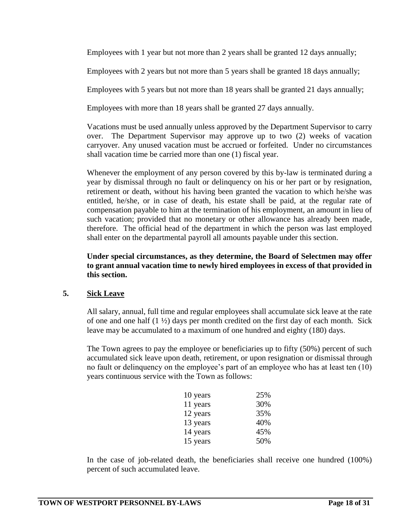Employees with 1 year but not more than 2 years shall be granted 12 days annually;

Employees with 2 years but not more than 5 years shall be granted 18 days annually;

Employees with 5 years but not more than 18 years shall be granted 21 days annually;

Employees with more than 18 years shall be granted 27 days annually.

Vacations must be used annually unless approved by the Department Supervisor to carry over. The Department Supervisor may approve up to two (2) weeks of vacation carryover. Any unused vacation must be accrued or forfeited. Under no circumstances shall vacation time be carried more than one (1) fiscal year.

Whenever the employment of any person covered by this by-law is terminated during a year by dismissal through no fault or delinquency on his or her part or by resignation, retirement or death, without his having been granted the vacation to which he/she was entitled, he/she, or in case of death, his estate shall be paid, at the regular rate of compensation payable to him at the termination of his employment, an amount in lieu of such vacation; provided that no monetary or other allowance has already been made, therefore. The official head of the department in which the person was last employed shall enter on the departmental payroll all amounts payable under this section.

**Under special circumstances, as they determine, the Board of Selectmen may offer to grant annual vacation time to newly hired employees in excess of that provided in this section.**

#### **5. Sick Leave**

All salary, annual, full time and regular employees shall accumulate sick leave at the rate of one and one half (1 ½) days per month credited on the first day of each month. Sick leave may be accumulated to a maximum of one hundred and eighty (180) days.

The Town agrees to pay the employee or beneficiaries up to fifty (50%) percent of such accumulated sick leave upon death, retirement, or upon resignation or dismissal through no fault or delinquency on the employee's part of an employee who has at least ten (10) years continuous service with the Town as follows:

| 10 years | 25% |
|----------|-----|
| 11 years | 30% |
| 12 years | 35% |
| 13 years | 40% |
| 14 years | 45% |
| 15 years | 50% |

In the case of job-related death, the beneficiaries shall receive one hundred (100%) percent of such accumulated leave.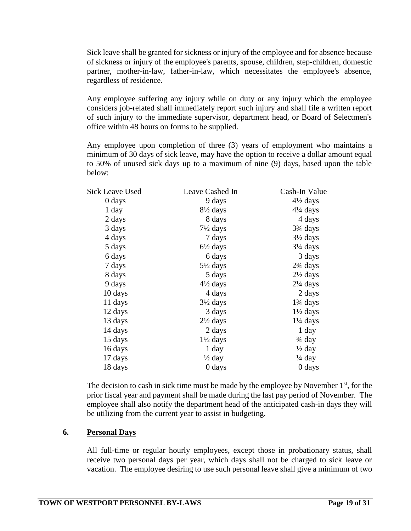Sick leave shall be granted for sickness or injury of the employee and for absence because of sickness or injury of the employee's parents, spouse, children, step-children, domestic partner, mother-in-law, father-in-law, which necessitates the employee's absence, regardless of residence.

Any employee suffering any injury while on duty or any injury which the employee considers job-related shall immediately report such injury and shall file a written report of such injury to the immediate supervisor, department head, or Board of Selectmen's office within 48 hours on forms to be supplied.

Any employee upon completion of three (3) years of employment who maintains a minimum of 30 days of sick leave, may have the option to receive a dollar amount equal to 50% of unused sick days up to a maximum of nine (9) days, based upon the table below:

| <b>Sick Leave Used</b> | Leave Cashed In     | Cash-In Value                      |
|------------------------|---------------------|------------------------------------|
| 0 days                 | 9 days              | $4\frac{1}{2}$ days                |
| $1 \, day$             | $8\frac{1}{2}$ days | $4\frac{1}{4}$ days                |
| 2 days                 | 8 days              | 4 days                             |
| 3 days                 | $7\frac{1}{2}$ days | 3 <sup>3</sup> / <sub>4</sub> days |
| 4 days                 | 7 days              | $3\frac{1}{2}$ days                |
| 5 days                 | $6\frac{1}{2}$ days | $3\frac{1}{4}$ days                |
| 6 days                 | 6 days              | 3 days                             |
| 7 days                 | $5\frac{1}{2}$ days | $2\frac{3}{4}$ days                |
| 8 days                 | 5 days              | $2\frac{1}{2}$ days                |
| 9 days                 | $4\frac{1}{2}$ days | $2\frac{1}{4}$ days                |
| 10 days                | 4 days              | 2 days                             |
| 11 days                | $3\frac{1}{2}$ days | $1\frac{3}{4}$ days                |
| 12 days                | 3 days              | $1\frac{1}{2}$ days                |
| 13 days                | $2\frac{1}{2}$ days | $1\frac{1}{4}$ days                |
| 14 days                | 2 days              | 1 day                              |
| 15 days                | $1\frac{1}{2}$ days | $\frac{3}{4}$ day                  |
| 16 days                | 1 day               | $\frac{1}{2}$ day                  |
| 17 days                | ½ day               | $\frac{1}{4}$ day                  |
| 18 days                | 0 days              | 0 days                             |
|                        |                     |                                    |

The decision to cash in sick time must be made by the employee by November  $1<sup>st</sup>$ , for the prior fiscal year and payment shall be made during the last pay period of November. The employee shall also notify the department head of the anticipated cash-in days they will be utilizing from the current year to assist in budgeting.

#### **6. Personal Days**

All full-time or regular hourly employees, except those in probationary status, shall receive two personal days per year, which days shall not be charged to sick leave or vacation. The employee desiring to use such personal leave shall give a minimum of two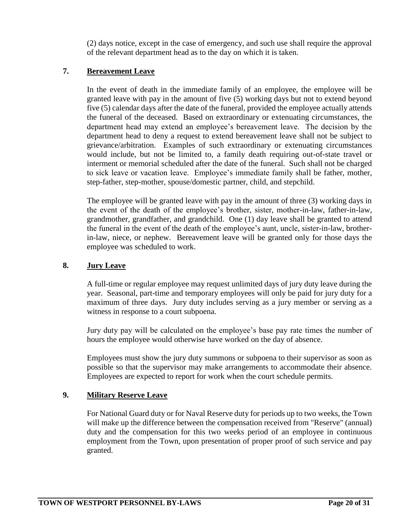(2) days notice, except in the case of emergency, and such use shall require the approval of the relevant department head as to the day on which it is taken.

#### **7. Bereavement Leave**

In the event of death in the immediate family of an employee, the employee will be granted leave with pay in the amount of five (5) working days but not to extend beyond five (5) calendar days after the date of the funeral, provided the employee actually attends the funeral of the deceased. Based on extraordinary or extenuating circumstances, the department head may extend an employee's bereavement leave. The decision by the department head to deny a request to extend bereavement leave shall not be subject to grievance/arbitration. Examples of such extraordinary or extenuating circumstances would include, but not be limited to, a family death requiring out-of-state travel or interment or memorial scheduled after the date of the funeral. Such shall not be charged to sick leave or vacation leave. Employee's immediate family shall be father, mother, step-father, step-mother, spouse/domestic partner, child, and stepchild.

The employee will be granted leave with pay in the amount of three (3) working days in the event of the death of the employee's brother, sister, mother-in-law, father-in-law, grandmother, grandfather, and grandchild. One (1) day leave shall be granted to attend the funeral in the event of the death of the employee's aunt, uncle, sister-in-law, brotherin-law, niece, or nephew. Bereavement leave will be granted only for those days the employee was scheduled to work.

#### **8. Jury Leave**

A full-time or regular employee may request unlimited days of jury duty leave during the year. Seasonal, part-time and temporary employees will only be paid for jury duty for a maximum of three days. Jury duty includes serving as a jury member or serving as a witness in response to a court subpoena.

Jury duty pay will be calculated on the employee's base pay rate times the number of hours the employee would otherwise have worked on the day of absence.

Employees must show the jury duty summons or subpoena to their supervisor as soon as possible so that the supervisor may make arrangements to accommodate their absence. Employees are expected to report for work when the court schedule permits.

#### **9. Military Reserve Leave**

For National Guard duty or for Naval Reserve duty for periods up to two weeks, the Town will make up the difference between the compensation received from "Reserve" (annual) duty and the compensation for this two weeks period of an employee in continuous employment from the Town, upon presentation of proper proof of such service and pay granted.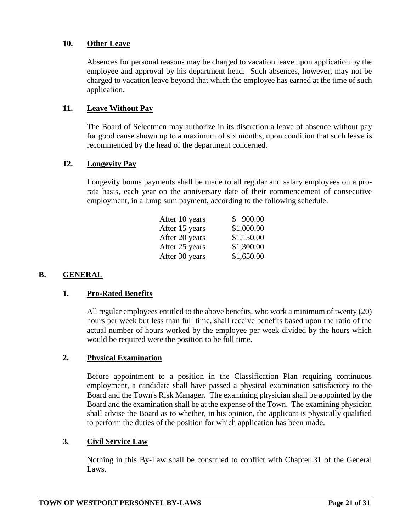#### **10. Other Leave**

Absences for personal reasons may be charged to vacation leave upon application by the employee and approval by his department head. Such absences, however, may not be charged to vacation leave beyond that which the employee has earned at the time of such application.

#### **11. Leave Without Pay**

The Board of Selectmen may authorize in its discretion a leave of absence without pay for good cause shown up to a maximum of six months, upon condition that such leave is recommended by the head of the department concerned.

#### **12. Longevity Pay**

Longevity bonus payments shall be made to all regular and salary employees on a prorata basis, each year on the anniversary date of their commencement of consecutive employment, in a lump sum payment, according to the following schedule.

| After 10 years | \$900.00   |
|----------------|------------|
| After 15 years | \$1,000.00 |
| After 20 years | \$1,150.00 |
| After 25 years | \$1,300.00 |
| After 30 years | \$1,650.00 |

#### **B. GENERAL**

#### **1. Pro-Rated Benefits**

All regular employees entitled to the above benefits, who work a minimum of twenty (20) hours per week but less than full time, shall receive benefits based upon the ratio of the actual number of hours worked by the employee per week divided by the hours which would be required were the position to be full time.

#### **2. Physical Examination**

Before appointment to a position in the Classification Plan requiring continuous employment, a candidate shall have passed a physical examination satisfactory to the Board and the Town's Risk Manager. The examining physician shall be appointed by the Board and the examination shall be at the expense of the Town. The examining physician shall advise the Board as to whether, in his opinion, the applicant is physically qualified to perform the duties of the position for which application has been made.

#### **3. Civil Service Law**

Nothing in this By-Law shall be construed to conflict with Chapter 31 of the General Laws.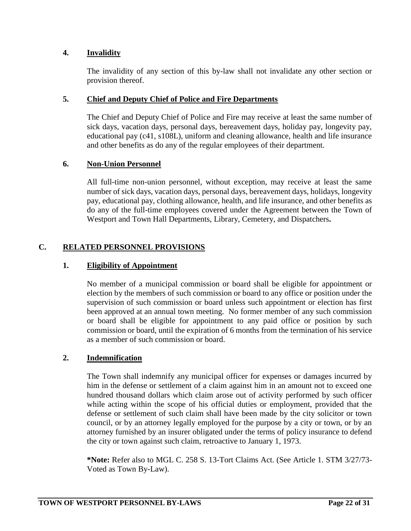#### **4. Invalidity**

The invalidity of any section of this by-law shall not invalidate any other section or provision thereof.

#### **5. Chief and Deputy Chief of Police and Fire Departments**

The Chief and Deputy Chief of Police and Fire may receive at least the same number of sick days, vacation days, personal days, bereavement days, holiday pay, longevity pay, educational pay (c41, s108L), uniform and cleaning allowance, health and life insurance and other benefits as do any of the regular employees of their department.

#### **6. Non-Union Personnel**

All full-time non-union personnel, without exception, may receive at least the same number of sick days, vacation days, personal days, bereavement days, holidays, longevity pay, educational pay, clothing allowance, health, and life insurance, and other benefits as do any of the full-time employees covered under the Agreement between the Town of Westport and Town Hall Departments, Library, Cemetery, and Dispatchers**.**

#### **C. RELATED PERSONNEL PROVISIONS**

#### **1. Eligibility of Appointment**

No member of a municipal commission or board shall be eligible for appointment or election by the members of such commission or board to any office or position under the supervision of such commission or board unless such appointment or election has first been approved at an annual town meeting. No former member of any such commission or board shall be eligible for appointment to any paid office or position by such commission or board, until the expiration of 6 months from the termination of his service as a member of such commission or board.

#### **2. Indemnification**

The Town shall indemnify any municipal officer for expenses or damages incurred by him in the defense or settlement of a claim against him in an amount not to exceed one hundred thousand dollars which claim arose out of activity performed by such officer while acting within the scope of his official duties or employment, provided that the defense or settlement of such claim shall have been made by the city solicitor or town council, or by an attorney legally employed for the purpose by a city or town, or by an attorney furnished by an insurer obligated under the terms of policy insurance to defend the city or town against such claim, retroactive to January 1, 1973.

**\*Note:** Refer also to MGL C. 258 S. 13-Tort Claims Act. (See Article 1. STM 3/27/73- Voted as Town By-Law).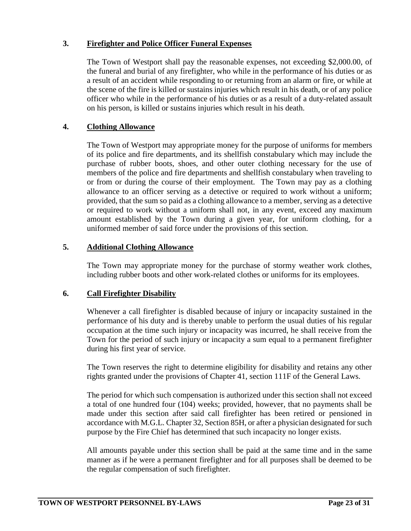#### **3. Firefighter and Police Officer Funeral Expenses**

The Town of Westport shall pay the reasonable expenses, not exceeding \$2,000.00, of the funeral and burial of any firefighter, who while in the performance of his duties or as a result of an accident while responding to or returning from an alarm or fire, or while at the scene of the fire is killed or sustains injuries which result in his death, or of any police officer who while in the performance of his duties or as a result of a duty-related assault on his person, is killed or sustains injuries which result in his death.

#### **4. Clothing Allowance**

The Town of Westport may appropriate money for the purpose of uniforms for members of its police and fire departments, and its shellfish constabulary which may include the purchase of rubber boots, shoes, and other outer clothing necessary for the use of members of the police and fire departments and shellfish constabulary when traveling to or from or during the course of their employment. The Town may pay as a clothing allowance to an officer serving as a detective or required to work without a uniform; provided, that the sum so paid as a clothing allowance to a member, serving as a detective or required to work without a uniform shall not, in any event, exceed any maximum amount established by the Town during a given year, for uniform clothing, for a uniformed member of said force under the provisions of this section.

#### **5. Additional Clothing Allowance**

The Town may appropriate money for the purchase of stormy weather work clothes, including rubber boots and other work-related clothes or uniforms for its employees.

#### **6. Call Firefighter Disability**

Whenever a call firefighter is disabled because of injury or incapacity sustained in the performance of his duty and is thereby unable to perform the usual duties of his regular occupation at the time such injury or incapacity was incurred, he shall receive from the Town for the period of such injury or incapacity a sum equal to a permanent firefighter during his first year of service.

The Town reserves the right to determine eligibility for disability and retains any other rights granted under the provisions of Chapter 41, section 111F of the General Laws.

The period for which such compensation is authorized under this section shall not exceed a total of one hundred four (104) weeks; provided, however, that no payments shall be made under this section after said call firefighter has been retired or pensioned in accordance with M.G.L. Chapter 32, Section 85H, or after a physician designated for such purpose by the Fire Chief has determined that such incapacity no longer exists.

All amounts payable under this section shall be paid at the same time and in the same manner as if he were a permanent firefighter and for all purposes shall be deemed to be the regular compensation of such firefighter.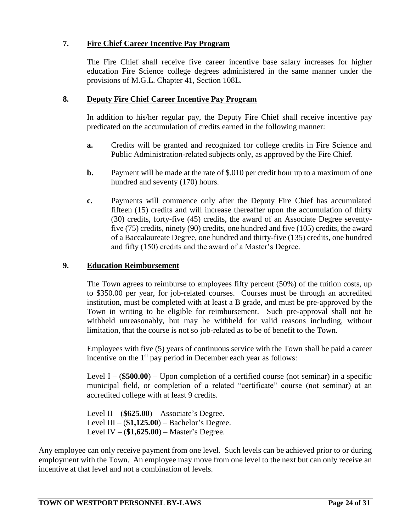#### **7. Fire Chief Career Incentive Pay Program**

The Fire Chief shall receive five career incentive base salary increases for higher education Fire Science college degrees administered in the same manner under the provisions of M.G.L. Chapter 41, Section 108L.

#### **8. Deputy Fire Chief Career Incentive Pay Program**

In addition to his/her regular pay, the Deputy Fire Chief shall receive incentive pay predicated on the accumulation of credits earned in the following manner:

- **a.** Credits will be granted and recognized for college credits in Fire Science and Public Administration-related subjects only, as approved by the Fire Chief.
- **b.** Payment will be made at the rate of \$.010 per credit hour up to a maximum of one hundred and seventy (170) hours.
- **c.** Payments will commence only after the Deputy Fire Chief has accumulated fifteen (15) credits and will increase thereafter upon the accumulation of thirty (30) credits, forty-five (45) credits, the award of an Associate Degree seventyfive (75) credits, ninety (90) credits, one hundred and five (105) credits, the award of a Baccalaureate Degree, one hundred and thirty-five (135) credits, one hundred and fifty (150) credits and the award of a Master's Degree.

#### **9. Education Reimbursement**

The Town agrees to reimburse to employees fifty percent (50%) of the tuition costs, up to \$350.00 per year, for job-related courses. Courses must be through an accredited institution, must be completed with at least a B grade, and must be pre-approved by the Town in writing to be eligible for reimbursement. Such pre-approval shall not be withheld unreasonably, but may be withheld for valid reasons including, without limitation, that the course is not so job-related as to be of benefit to the Town.

Employees with five (5) years of continuous service with the Town shall be paid a career incentive on the  $1<sup>st</sup>$  pay period in December each year as follows:

Level I – (**\$500.00**) – Upon completion of a certified course (not seminar) in a specific municipal field, or completion of a related "certificate" course (not seminar) at an accredited college with at least 9 credits.

Level II – (**\$625.00**) – Associate's Degree. Level III – (**\$1,125.00**) – Bachelor's Degree. Level IV – (**\$1,625.00**) – Master's Degree.

Any employee can only receive payment from one level. Such levels can be achieved prior to or during employment with the Town. An employee may move from one level to the next but can only receive an incentive at that level and not a combination of levels.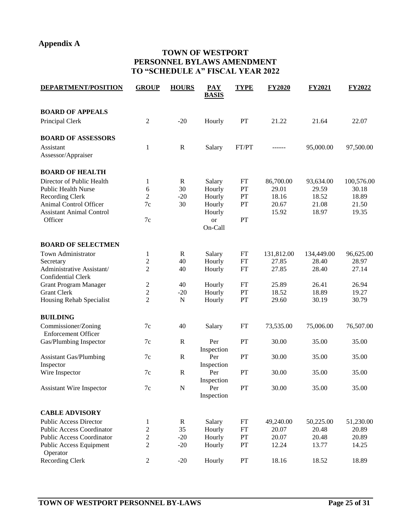#### **Appendix A**

#### **TOWN OF WESTPORT PERSONNEL BYLAWS AMENDMENT TO "SCHEDULE A" FISCAL YEAR 2022**

| <b>DEPARTMENT/POSITION</b>                        | <b>GROUP</b>   | <b>HOURS</b> | <b>PAY</b><br><b>BASIS</b> | <b>TYPE</b>   | <b>FY2020</b> | <b>FY2021</b> | <b>FY2022</b> |
|---------------------------------------------------|----------------|--------------|----------------------------|---------------|---------------|---------------|---------------|
| <b>BOARD OF APPEALS</b>                           |                |              |                            |               |               |               |               |
| Principal Clerk                                   | $\overline{c}$ | $-20$        | Hourly                     | PT            | 21.22         | 21.64         | 22.07         |
| <b>BOARD OF ASSESSORS</b>                         |                |              |                            |               |               |               |               |
| Assistant<br>Assessor/Appraiser                   | $\mathbf{1}$   | $\mathbb{R}$ | Salary                     | FT/PT         | ------        | 95,000.00     | 97,500.00     |
| <b>BOARD OF HEALTH</b>                            |                |              |                            |               |               |               |               |
| Director of Public Health                         | 1              | $\mathbf R$  | Salary                     | FT            | 86,700.00     | 93,634.00     | 100,576.00    |
| <b>Public Health Nurse</b>                        | 6              | 30           | Hourly                     | PT            | 29.01         | 29.59         | 30.18         |
| <b>Recording Clerk</b>                            | $\overline{2}$ | $-20$        | Hourly                     | PT            | 18.16         | 18.52         | 18.89         |
| Animal Control Officer                            | $7\mathrm{c}$  | 30           | Hourly                     | PT            | 20.67         | 21.08         | 21.50         |
| <b>Assistant Animal Control</b>                   |                |              | Hourly                     |               | 15.92         | 18.97         | 19.35         |
| Officer                                           | $7\mathrm{c}$  |              | or                         | PT            |               |               |               |
|                                                   |                |              | On-Call                    |               |               |               |               |
| <b>BOARD OF SELECTMEN</b>                         |                |              |                            |               |               |               |               |
| Town Administrator                                | 1              | $\mathbb{R}$ | Salary                     | FT            | 131,812.00    | 134,449.00    | 96,625.00     |
| Secretary                                         | $\overline{c}$ | 40           | Hourly                     | <b>FT</b>     | 27.85         | 28.40         | 28.97         |
| Administrative Assistant/                         | $\overline{2}$ | 40           | Hourly                     | <b>FT</b>     | 27.85         | 28.40         | 27.14         |
| <b>Confidential Clerk</b>                         |                |              |                            |               |               |               |               |
| <b>Grant Program Manager</b>                      | $\overline{c}$ | 40           | Hourly                     | <b>FT</b>     | 25.89         | 26.41         | 26.94         |
| <b>Grant Clerk</b>                                | $\sqrt{2}$     | $-20$        | Hourly                     | PT            | 18.52         | 18.89         | 19.27         |
| Housing Rehab Specialist                          | $\overline{2}$ | ${\bf N}$    | Hourly                     | $\mathbf{PT}$ | 29.60         | 30.19         | 30.79         |
|                                                   |                |              |                            |               |               |               |               |
| <b>BUILDING</b>                                   |                |              |                            |               |               |               |               |
| Commissioner/Zoning<br><b>Enforcement Officer</b> | 7c             | 40           | Salary                     | FT            | 73,535.00     | 75,006.00     | 76,507.00     |
| Gas/Plumbing Inspector                            | 7c             | $\mathbb{R}$ | Per                        | PT            | 30.00         | 35.00         | 35.00         |
|                                                   |                |              | Inspection                 |               |               |               |               |
| <b>Assistant Gas/Plumbing</b>                     | 7c             | $\mathbb{R}$ | Per                        | PT            | 30.00         | 35.00         | 35.00         |
| Inspector                                         |                |              | Inspection                 |               |               |               |               |
| Wire Inspector                                    | 7c             | $\mathbb{R}$ | Per                        | PT            | 30.00         | 35.00         | 35.00         |
|                                                   |                |              | Inspection                 |               |               |               |               |
| <b>Assistant Wire Inspector</b>                   | $7c$           | ${\bf N}$    | Per                        | PT            | 30.00         | 35.00         | 35.00         |
|                                                   |                |              | Inspection                 |               |               |               |               |
| <b>CABLE ADVISORY</b>                             |                |              |                            |               |               |               |               |
| <b>Public Access Director</b>                     | 1              | R            | Salary                     | FT            | 49,240.00     | 50,225.00     | 51,230.00     |
| <b>Public Access Coordinator</b>                  | $\mathfrak{2}$ | 35           | Hourly                     | FT            | 20.07         | 20.48         | 20.89         |
| <b>Public Access Coordinator</b>                  | $\overline{c}$ | $-20$        | Hourly                     | ${\cal PT}$   | 20.07         | 20.48         | 20.89         |
| Public Access Equipment                           | $\overline{c}$ | $-20$        | Hourly                     | PT            | 12.24         | 13.77         | 14.25         |
| Operator                                          |                |              |                            |               |               |               |               |
| Recording Clerk                                   | $\mathfrak{2}$ | $-20$        | Hourly                     | PT            | 18.16         | 18.52         | 18.89         |
|                                                   |                |              |                            |               |               |               |               |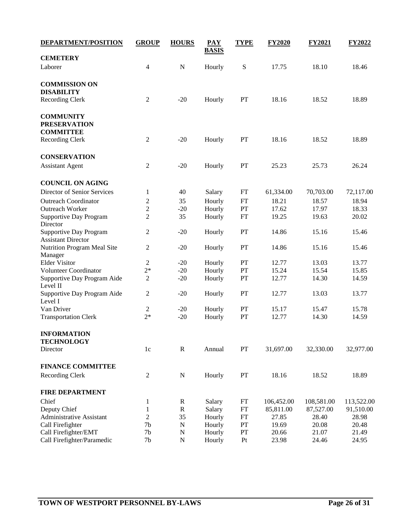| <b>DEPARTMENT/POSITION</b>              | <b>GROUP</b>             | <b>HOURS</b> | <b>PAY</b><br><b>BASIS</b> | <b>TYPE</b> | <b>FY2020</b> | <b>FY2021</b> | <b>FY2022</b> |
|-----------------------------------------|--------------------------|--------------|----------------------------|-------------|---------------|---------------|---------------|
| <b>CEMETERY</b>                         |                          |              |                            |             |               |               |               |
| Laborer                                 | $\overline{\mathcal{L}}$ | ${\bf N}$    | Hourly                     | ${\bf S}$   | 17.75         | 18.10         | 18.46         |
| <b>COMMISSION ON</b>                    |                          |              |                            |             |               |               |               |
| <b>DISABILITY</b>                       |                          |              |                            |             |               |               |               |
| Recording Clerk                         | $\boldsymbol{2}$         | $-20$        | Hourly                     | PT          | 18.16         | 18.52         | 18.89         |
| <b>COMMUNITY</b>                        |                          |              |                            |             |               |               |               |
| <b>PRESERVATION</b>                     |                          |              |                            |             |               |               |               |
| <b>COMMITTEE</b>                        |                          |              |                            |             |               |               |               |
| <b>Recording Clerk</b>                  | $\overline{c}$           | $-20$        | Hourly                     | PT          | 18.16         | 18.52         | 18.89         |
| <b>CONSERVATION</b>                     |                          |              |                            |             |               |               |               |
| <b>Assistant Agent</b>                  | $\overline{2}$           | $-20$        | Hourly                     | PT          | 25.23         | 25.73         | 26.24         |
| <b>COUNCIL ON AGING</b>                 |                          |              |                            |             |               |               |               |
| Director of Senior Services             | 1                        | 40           | Salary                     | FT          | 61,334.00     | 70,703.00     | 72,117.00     |
| <b>Outreach Coordinator</b>             | $\overline{c}$           | 35           | Hourly                     | <b>FT</b>   | 18.21         | 18.57         | 18.94         |
| Outreach Worker                         | $\mathfrak{2}$           | $-20$        | Hourly                     | PT          | 17.62         | 17.97         | 18.33         |
| <b>Supportive Day Program</b>           | $\mathfrak{2}$           | 35           | Hourly                     | FT          | 19.25         | 19.63         | 20.02         |
| Director                                |                          |              |                            |             |               |               |               |
| Supportive Day Program                  | $\mathfrak{2}$           | $-20$        | Hourly                     | PT          | 14.86         | 15.16         | 15.46         |
| <b>Assistant Director</b>               |                          |              |                            |             |               |               |               |
| Nutrition Program Meal Site             | $\sqrt{2}$               | $-20$        | Hourly                     | PT          | 14.86         | 15.16         | 15.46         |
| Manager                                 |                          |              |                            |             |               |               |               |
| <b>Elder Visitor</b>                    | $\mathfrak{2}$           | $-20$        | Hourly                     | PT          | 12.77         | 13.03         | 13.77         |
| Volunteer Coordinator                   | $2*$                     | $-20$        | Hourly                     | PT          | 15.24         | 15.54         | 15.85         |
| Supportive Day Program Aide<br>Level II | $\sqrt{2}$               | $-20$        | Hourly                     | PT          | 12.77         | 14.30         | 14.59         |
| Supportive Day Program Aide             | $\mathfrak{2}$           | $-20$        | Hourly                     | PT          | 12.77         | 13.03         | 13.77         |
| Level I                                 |                          |              |                            |             |               |               |               |
| Van Driver                              | $\mathfrak{2}$           | $-20$        | Hourly                     | PT          | 15.17         | 15.47         | 15.78         |
| <b>Transportation Clerk</b>             | $2*$                     | $-20$        | Hourly                     | PT          | 12.77         | 14.30         | 14.59         |
| <b>INFORMATION</b>                      |                          |              |                            |             |               |               |               |
| <b>TECHNOLOGY</b>                       |                          |              |                            |             |               |               |               |
| Director                                | 1c                       | $\mathbf R$  | Annual                     | PT          | 31,697.00     | 32,330.00     | 32,977.00     |
| <b>FINANCE COMMITTEE</b>                |                          |              |                            |             |               |               |               |
| <b>Recording Clerk</b>                  | $\boldsymbol{2}$         | ${\bf N}$    | Hourly                     | PT          | 18.16         | 18.52         | 18.89         |
| <b>FIRE DEPARTMENT</b>                  |                          |              |                            |             |               |               |               |
| Chief                                   | 1                        | $\mathbb{R}$ | Salary                     | FT          | 106,452.00    | 108,581.00    | 113,522.00    |
| Deputy Chief                            | $\,1$                    | ${\bf R}$    | Salary                     | <b>FT</b>   | 85,811.00     | 87,527.00     | 91,510.00     |
| Administrative Assistant                | $\overline{2}$           | 35           | Hourly                     | <b>FT</b>   | 27.85         | 28.40         | 28.98         |
| Call Firefighter                        | 7 <sub>b</sub>           | $\mathbf N$  | Hourly                     | PT          | 19.69         | 20.08         | 20.48         |
| Call Firefighter/EMT                    | 7 <sub>b</sub>           | $\mathbf N$  | Hourly                     | PT          | 20.66         | 21.07         | 21.49         |
| Call Firefighter/Paramedic              | 7 <sub>b</sub>           | ${\bf N}$    | Hourly                     | Pt          | 23.98         | 24.46         | 24.95         |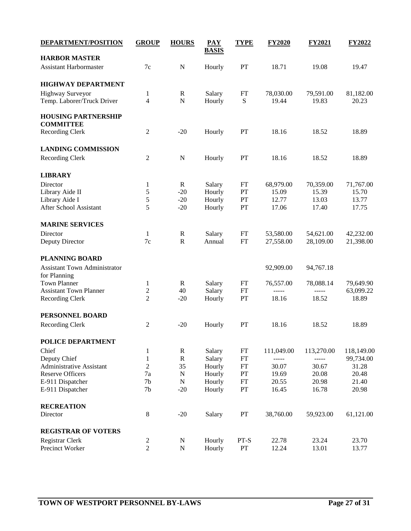| <b>DEPARTMENT/POSITION</b>          | <b>GROUP</b>                   | <b>HOURS</b> | <b>PAY</b><br><b>BASIS</b> | <b>TYPE</b> | <b>FY2020</b> | <b>FY2021</b> | <b>FY2022</b> |
|-------------------------------------|--------------------------------|--------------|----------------------------|-------------|---------------|---------------|---------------|
| <b>HARBOR MASTER</b>                |                                |              |                            |             |               |               |               |
| Assistant Harbormaster              | 7c                             | ${\bf N}$    | Hourly                     | PT          | 18.71         | 19.08         | 19.47         |
| <b>HIGHWAY DEPARTMENT</b>           |                                |              |                            |             |               |               |               |
| <b>Highway Surveyor</b>             | $\mathbf{1}$                   | $\mathbf R$  | Salary                     | FT          | 78,030.00     | 79,591.00     | 81,182.00     |
| Temp. Laborer/Truck Driver          | $\overline{4}$                 | ${\bf N}$    | Hourly                     | ${\bf S}$   | 19.44         | 19.83         | 20.23         |
| <b>HOUSING PARTNERSHIP</b>          |                                |              |                            |             |               |               |               |
| <b>COMMITTEE</b>                    |                                |              |                            |             |               |               |               |
| Recording Clerk                     | $\overline{c}$                 | $-20$        | Hourly                     | PT          | 18.16         | 18.52         | 18.89         |
| <b>LANDING COMMISSION</b>           |                                |              |                            |             |               |               |               |
| Recording Clerk                     | $\overline{2}$                 | ${\bf N}$    | Hourly                     | PT          | 18.16         | 18.52         | 18.89         |
| <b>LIBRARY</b>                      |                                |              |                            |             |               |               |               |
| Director                            | 1                              | $\mathbb{R}$ | Salary                     | FT          | 68,979.00     | 70,359.00     | 71,767.00     |
| Library Aide II                     | $\mathfrak s$                  | $-20$        | Hourly                     | PT          | 15.09         | 15.39         | 15.70         |
| Library Aide I                      | $\mathfrak s$                  | $-20$        | Hourly                     | PT          | 12.77         | 13.03         | 13.77         |
| After School Assistant              | 5                              | $-20$        | Hourly                     | PT          | 17.06         | 17.40         | 17.75         |
| <b>MARINE SERVICES</b>              |                                |              |                            |             |               |               |               |
| Director                            | 1                              | $\mathbf R$  | Salary                     | ${\rm FT}$  | 53,580.00     | 54,621.00     | 42,232.00     |
| Deputy Director                     | $7c$                           | ${\bf R}$    | Annual                     | FT          | 27,558.00     | 28,109.00     | 21,398.00     |
| <b>PLANNING BOARD</b>               |                                |              |                            |             |               |               |               |
| <b>Assistant Town Administrator</b> |                                |              |                            |             | 92,909.00     | 94,767.18     |               |
| for Planning<br><b>Town Planner</b> |                                | $\mathbf R$  |                            | FT          |               | 78,088.14     | 79,649.90     |
| <b>Assistant Town Planner</b>       | $\mathbf{1}$<br>$\overline{c}$ | 40           | Salary<br>Salary           | FT          | 76,557.00     |               | 63,099.22     |
| <b>Recording Clerk</b>              | $\overline{2}$                 | $-20$        | Hourly                     | PT          | 18.16         | 18.52         | 18.89         |
|                                     |                                |              |                            |             |               |               |               |
| PERSONNEL BOARD                     |                                |              |                            |             |               |               |               |
| Recording Clerk                     | $\boldsymbol{2}$               | $-20$        | Hourly                     | PT          | 18.16         | 18.52         | 18.89         |
| POLICE DEPARTMENT                   |                                |              |                            |             |               |               |               |
| Chief                               | 1                              | $\mathbb{R}$ | Salary                     | FT          | 111,049.00    | 113,270.00    | 118,149.00    |
| Deputy Chief                        | $\,1\,$                        | ${\bf R}$    | Salary                     | FT          | -----         | -----         | 99,734.00     |
| Administrative Assistant            | $\overline{2}$                 | 35           | Hourly                     | FT          | 30.07         | 30.67         | 31.28         |
| <b>Reserve Officers</b>             | 7a                             | $\mathbf N$  | Hourly                     | PT          | 19.69         | 20.08         | 20.48         |
| E-911 Dispatcher                    | 7 <sub>b</sub>                 | ${\bf N}$    | Hourly                     | FT          | 20.55         | 20.98         | 21.40         |
| E-911 Dispatcher                    | 7 <sub>b</sub>                 | $-20$        | Hourly                     | PT          | 16.45         | 16.78         | 20.98         |
| <b>RECREATION</b>                   |                                |              |                            |             |               |               |               |
| Director                            | $\,8$                          | $-20$        | Salary                     | PT          | 38,760.00     | 59,923.00     | 61,121.00     |
| <b>REGISTRAR OF VOTERS</b>          |                                |              |                            |             |               |               |               |
| Registrar Clerk                     | $\mathfrak{2}$                 | $\mathbf N$  | Hourly                     | PT-S        | 22.78         | 23.24         | 23.70         |
| Precinct Worker                     | $\overline{2}$                 | ${\bf N}$    | Hourly                     | PT          | 12.24         | 13.01         | 13.77         |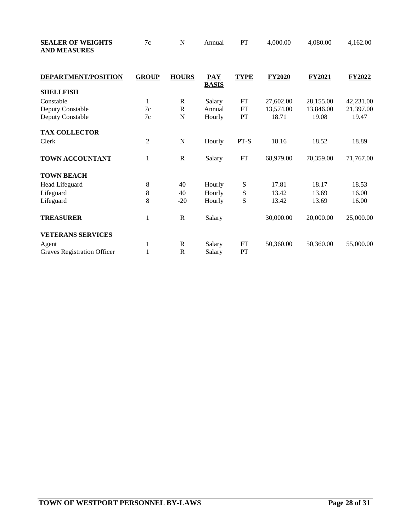| <b>SEALER OF WEIGHTS</b><br><b>AND MEASURES</b> | $7\mathrm{c}$  | N              | Annual                     | PT          | 4,000.00      | 4,080.00      | 4,162.00  |
|-------------------------------------------------|----------------|----------------|----------------------------|-------------|---------------|---------------|-----------|
| <b>DEPARTMENT/POSITION</b>                      | <b>GROUP</b>   | <b>HOURS</b>   | <b>PAY</b><br><b>BASIS</b> | <b>TYPE</b> | <b>FY2020</b> | <b>FY2021</b> | FY2022    |
| <b>SHELLFISH</b>                                |                |                |                            |             |               |               |           |
| Constable                                       | $\mathbf{1}$   | $\mathbb{R}$   | Salary                     | ${\rm FT}$  | 27,602.00     | 28,155.00     | 42,231.00 |
| Deputy Constable                                | 7c             | ${\bf R}$      | Annual                     | FT          | 13,574.00     | 13,846.00     | 21,397.00 |
| Deputy Constable                                | 7c             | $\mathbf N$    | Hourly                     | PT          | 18.71         | 19.08         | 19.47     |
| <b>TAX COLLECTOR</b>                            |                |                |                            |             |               |               |           |
| Clerk                                           | $\overline{c}$ | $\overline{N}$ | Hourly                     | PT-S        | 18.16         | 18.52         | 18.89     |
| TOWN ACCOUNTANT                                 | $\mathbf 1$    | $\mathbf R$    | Salary                     | ${\rm FT}$  | 68,979.00     | 70,359.00     | 71,767.00 |
| <b>TOWN BEACH</b>                               |                |                |                            |             |               |               |           |
| Head Lifeguard                                  | 8              | 40             | Hourly                     | S           | 17.81         | 18.17         | 18.53     |
| Lifeguard                                       | $\,$ 8 $\,$    | 40             | Hourly                     | S           | 13.42         | 13.69         | 16.00     |
| Lifeguard                                       | 8              | $-20$          | Hourly                     | S           | 13.42         | 13.69         | 16.00     |
| <b>TREASURER</b>                                | 1              | $\mathbf R$    | Salary                     |             | 30,000.00     | 20,000.00     | 25,000.00 |
| <b>VETERANS SERVICES</b>                        |                |                |                            |             |               |               |           |
| Agent                                           | 1              | $\mathbb{R}$   | Salary                     | FT          | 50,360.00     | 50,360.00     | 55,000.00 |
| Graves Registration Officer                     | 1              | $\mathbb{R}$   | Salary                     | PT          |               |               |           |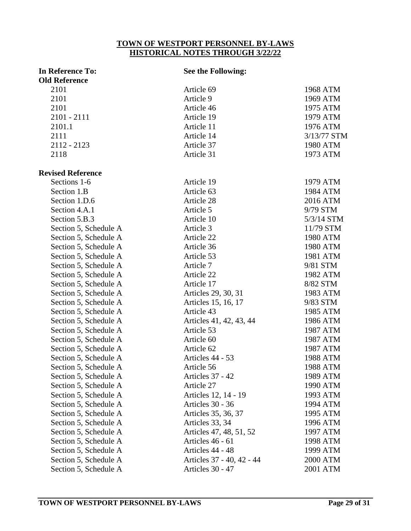## **TOWN OF WESTPORT PERSONNEL BY-LAWS**

### **HISTORICAL NOTES THROUGH 3/22/22 In Reference To: See the Following: Old Reference**  2101 **Article 69** 1968 ATM

| 21 U 1                   |                           | 1700 111111 |
|--------------------------|---------------------------|-------------|
| 2101                     | Article 9                 | 1969 ATM    |
| 2101                     | Article 46                | 1975 ATM    |
| 2101 - 2111              | Article 19                | 1979 ATM    |
| 2101.1                   | Article 11                | 1976 ATM    |
| 2111                     | Article 14                | 3/13/77 STM |
| $2112 - 2123$            | Article 37                | 1980 ATM    |
| 2118                     | Article 31                | 1973 ATM    |
| <b>Revised Reference</b> |                           |             |
| Sections 1-6             | Article 19                | 1979 ATM    |
| Section 1.B              | Article 63                | 1984 ATM    |
| Section 1.D.6            | Article 28                | 2016 ATM    |
| Section 4.A.1            | Article 5                 | 9/79 STM    |
| Section 5.B.3            | Article 10                | 5/3/14 STM  |
| Section 5, Schedule A    | Article 3                 | 11/79 STM   |
| Section 5, Schedule A    | Article 22                | 1980 ATM    |
| Section 5, Schedule A    | Article 36                | 1980 ATM    |
| Section 5, Schedule A    | Article 53                | 1981 ATM    |
| Section 5, Schedule A    | Article 7                 | 9/81 STM    |
| Section 5, Schedule A    | Article 22                | 1982 ATM    |
| Section 5, Schedule A    | Article 17                | 8/82 STM    |
| Section 5, Schedule A    | Articles 29, 30, 31       | 1983 ATM    |
| Section 5, Schedule A    | Articles 15, 16, 17       | 9/83 STM    |
| Section 5, Schedule A    | Article 43                | 1985 ATM    |
| Section 5, Schedule A    | Articles 41, 42, 43, 44   | 1986 ATM    |
| Section 5, Schedule A    | Article 53                | 1987 ATM    |
| Section 5, Schedule A    | Article 60                | 1987 ATM    |
| Section 5, Schedule A    | Article 62                | 1987 ATM    |
| Section 5, Schedule A    | Articles 44 - 53          | 1988 ATM    |
| Section 5, Schedule A    | Article 56                | 1988 ATM    |
| Section 5, Schedule A    | Articles 37 - 42          | 1989 ATM    |
| Section 5, Schedule A    | Article 27                | 1990 ATM    |
| Section 5, Schedule A    | Articles 12, 14 - 19      | 1993 ATM    |
| Section 5, Schedule A    | Articles 30 - 36          | 1994 ATM    |
| Section 5, Schedule A    | Articles 35, 36, 37       | 1995 ATM    |
| Section 5, Schedule A    | Articles 33, 34           | 1996 ATM    |
| Section 5, Schedule A    | Articles 47, 48, 51, 52   | 1997 ATM    |
| Section 5, Schedule A    | Articles 46 - 61          | 1998 ATM    |
| Section 5, Schedule A    | Articles 44 - 48          | 1999 ATM    |
| Section 5, Schedule A    | Articles 37 - 40, 42 - 44 | 2000 ATM    |
| Section 5, Schedule A    | Articles 30 - 47          | 2001 ATM    |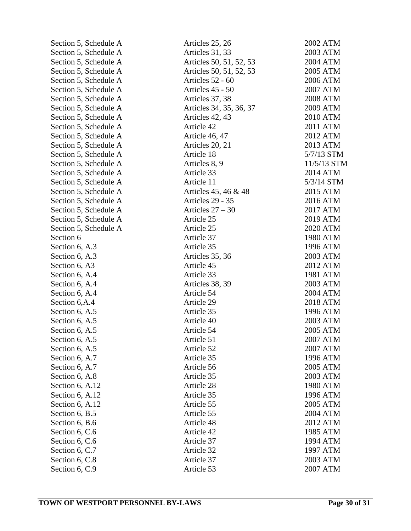| Section 5, Schedule A | Articles 25, 26         | 2002 ATM    |
|-----------------------|-------------------------|-------------|
| Section 5, Schedule A | Articles 31, 33         | 2003 ATM    |
| Section 5, Schedule A | Articles 50, 51, 52, 53 | 2004 ATM    |
| Section 5, Schedule A | Articles 50, 51, 52, 53 | 2005 ATM    |
| Section 5, Schedule A | Articles 52 - 60        | 2006 ATM    |
| Section 5, Schedule A | Articles 45 - 50        | 2007 ATM    |
| Section 5, Schedule A | Articles 37, 38         | 2008 ATM    |
| Section 5, Schedule A | Articles 34, 35, 36, 37 | 2009 ATM    |
| Section 5, Schedule A | Articles 42, 43         | 2010 ATM    |
| Section 5, Schedule A | Article 42              | 2011 ATM    |
| Section 5, Schedule A | Article 46, 47          | 2012 ATM    |
| Section 5, Schedule A | Articles 20, 21         | 2013 ATM    |
| Section 5, Schedule A | Article 18              | 5/7/13 STM  |
| Section 5, Schedule A | Articles 8, 9           | 11/5/13 STM |
| Section 5, Schedule A | Article 33              | 2014 ATM    |
| Section 5, Schedule A | Article 11              | 5/3/14 STM  |
| Section 5, Schedule A | Articles 45, 46 & 48    | 2015 ATM    |
| Section 5, Schedule A | Articles 29 - 35        | 2016 ATM    |
| Section 5, Schedule A | Articles $27 - 30$      | 2017 ATM    |
| Section 5, Schedule A | Article 25              | 2019 ATM    |
| Section 5, Schedule A | Article 25              | 2020 ATM    |
| Section 6             | Article 37              | 1980 ATM    |
| Section 6, A.3        | Article 35              | 1996 ATM    |
| Section 6, A.3        | Articles 35, 36         | 2003 ATM    |
| Section 6, A3         | Article 45              | 2012 ATM    |
| Section 6, A.4        | Article 33              | 1981 ATM    |
| Section 6, A.4        | Articles 38, 39         | 2003 ATM    |
| Section 6, A.4        | Article 54              | 2004 ATM    |
| Section 6, A.4        | Article 29              | 2018 ATM    |
| Section 6, A.5        | Article 35              | 1996 ATM    |
| Section 6, A.5        | Article 40              | 2003 ATM    |
| Section 6, A.5        | Article 54              | 2005 ATM    |
| Section 6, A.5        | Article 51              | 2007 ATM    |
| Section 6, A.5        | Article 52              | 2007 ATM    |
| Section 6, A.7        | Article 35              | 1996 ATM    |
| Section 6, A.7        | Article 56              | 2005 ATM    |
| Section 6, A.8        | Article 35              | 2003 ATM    |
| Section 6, A.12       | Article 28              | 1980 ATM    |
| Section 6, A.12       | Article 35              | 1996 ATM    |
| Section 6, A.12       | Article 55              | 2005 ATM    |
| Section 6, B.5        | Article 55              | 2004 ATM    |
| Section 6, B.6        | Article 48              | 2012 ATM    |
| Section 6, C.6        | Article 42              | 1985 ATM    |
| Section 6, C.6        | Article 37              | 1994 ATM    |
| Section 6, C.7        | Article 32              | 1997 ATM    |
| Section 6, C.8        | Article 37              | 2003 ATM    |
| Section 6, C.9        | Article 53              | 2007 ATM    |